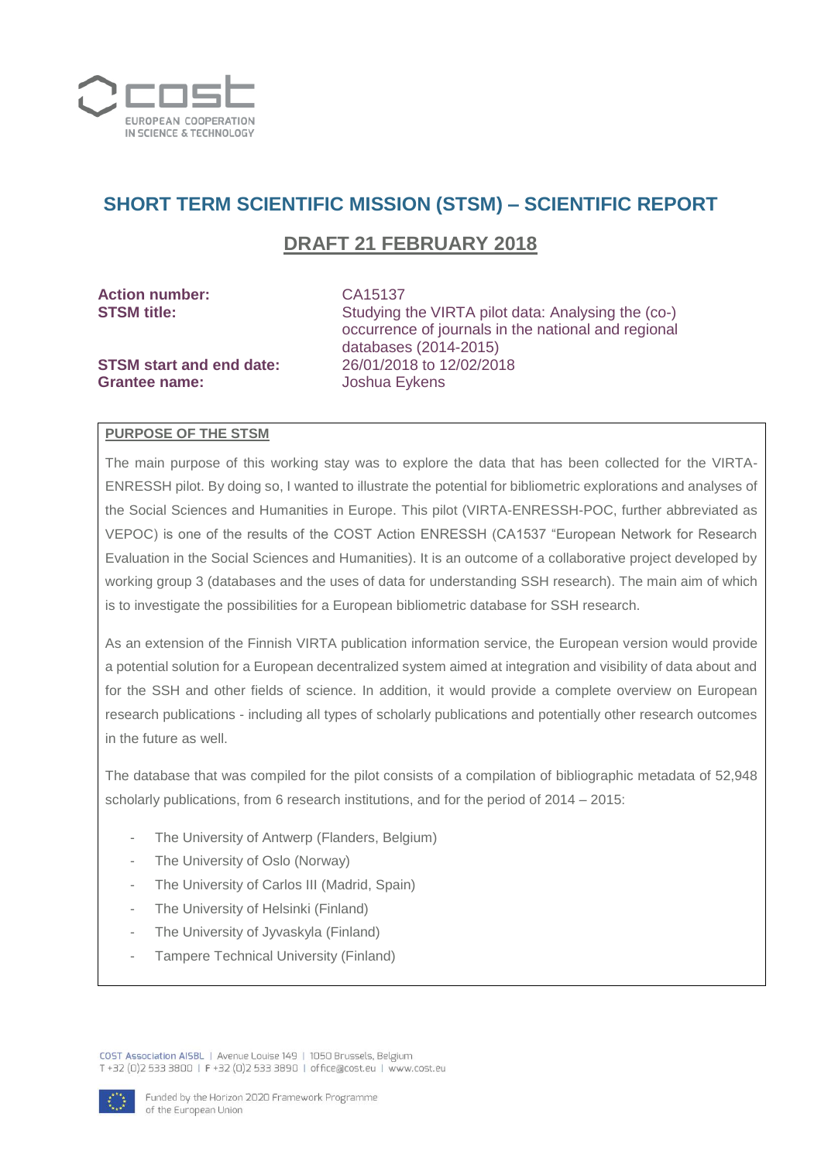

# **SHORT TERM SCIENTIFIC MISSION (STSM) – SCIENTIFIC REPORT**

## **DRAFT 21 FEBRUARY 2018**

| <b>Action number:</b>           | CA15137                                                                                                   |
|---------------------------------|-----------------------------------------------------------------------------------------------------------|
| <b>STSM title:</b>              | Studying the VIRTA pilot data: Analysing the (co-)<br>occurrence of journals in the national and regional |
|                                 | databases (2014-2015)                                                                                     |
| <b>STSM start and end date:</b> | 26/01/2018 to 12/02/2018                                                                                  |
| <b>Grantee name:</b>            | Joshua Eykens                                                                                             |

#### **PURPOSE OF THE STSM**

The main purpose of this working stay was to explore the data that has been collected for the VIRTA-ENRESSH pilot. By doing so, I wanted to illustrate the potential for bibliometric explorations and analyses of the Social Sciences and Humanities in Europe. This pilot (VIRTA-ENRESSH-POC, further abbreviated as VEPOC) is one of the results of the COST Action ENRESSH (CA1537 "European Network for Research Evaluation in the Social Sciences and Humanities). It is an outcome of a collaborative project developed by working group 3 (databases and the uses of data for understanding SSH research). The main aim of which is to investigate the possibilities for a European bibliometric database for SSH research.

As an extension of the Finnish VIRTA publication information service, the European version would provide a potential solution for a European decentralized system aimed at integration and visibility of data about and for the SSH and other fields of science. In addition, it would provide a complete overview on European research publications - including all types of scholarly publications and potentially other research outcomes in the future as well.

The database that was compiled for the pilot consists of a compilation of bibliographic metadata of 52,948 scholarly publications, from 6 research institutions, and for the period of 2014 – 2015:

- The University of Antwerp (Flanders, Belgium)
- The University of Oslo (Norway)
- The University of Carlos III (Madrid, Spain)
- The University of Helsinki (Finland)
- The University of Jyvaskyla (Finland)
- Tampere Technical University (Finland)

COST Association AISBL | Avenue Louise 149 | 1050 Brussels, Belgium T+32 (0)2 533 3800 | F+32 (0)2 533 3890 | office@cost.eu | www.cost.eu

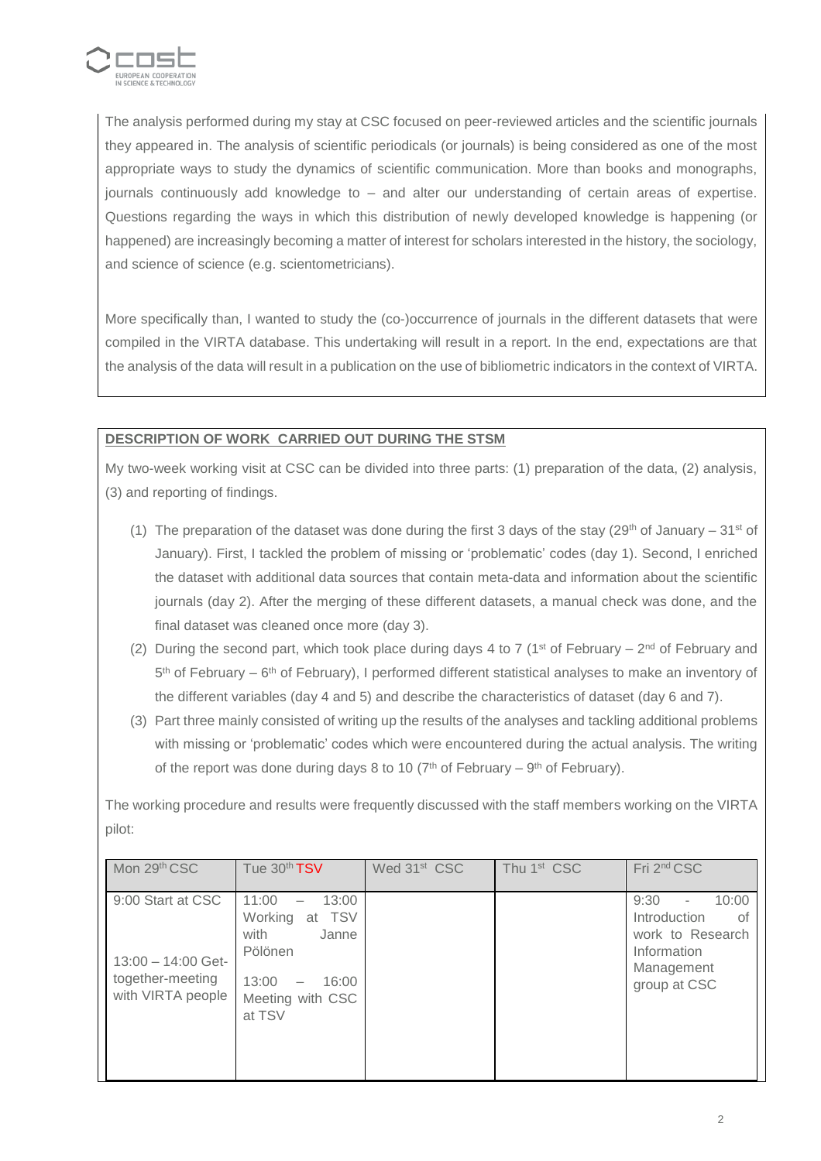

The analysis performed during my stay at CSC focused on peer-reviewed articles and the scientific journals they appeared in. The analysis of scientific periodicals (or journals) is being considered as one of the most appropriate ways to study the dynamics of scientific communication. More than books and monographs, journals continuously add knowledge to – and alter our understanding of certain areas of expertise. Questions regarding the ways in which this distribution of newly developed knowledge is happening (or happened) are increasingly becoming a matter of interest for scholars interested in the history, the sociology, and science of science (e.g. scientometricians).

More specifically than, I wanted to study the (co-)occurrence of journals in the different datasets that were compiled in the VIRTA database. This undertaking will result in a report. In the end, expectations are that the analysis of the data will result in a publication on the use of bibliometric indicators in the context of VIRTA.

### **DESCRIPTION OF WORK CARRIED OUT DURING THE STSM**

My two-week working visit at CSC can be divided into three parts: (1) preparation of the data, (2) analysis, (3) and reporting of findings.

- (1) The preparation of the dataset was done during the first 3 days of the stay (29<sup>th</sup> of January 31<sup>st</sup> of January). First, I tackled the problem of missing or 'problematic' codes (day 1). Second, I enriched the dataset with additional data sources that contain meta-data and information about the scientific journals (day 2). After the merging of these different datasets, a manual check was done, and the final dataset was cleaned once more (day 3).
- (2) During the second part, which took place during days 4 to 7 (1<sup>st</sup> of February 2<sup>nd</sup> of February and 5<sup>th</sup> of February – 6<sup>th</sup> of February), I performed different statistical analyses to make an inventory of the different variables (day 4 and 5) and describe the characteristics of dataset (day 6 and 7).
- (3) Part three mainly consisted of writing up the results of the analyses and tackling additional problems with missing or 'problematic' codes which were encountered during the actual analysis. The writing of the report was done during days 8 to 10 ( $7<sup>th</sup>$  of February –  $9<sup>th</sup>$  of February).

The working procedure and results were frequently discussed with the staff members working on the VIRTA pilot:

| Mon 29th CSC                                                                       | Tue 30th TSV                                                                                                                                          | Wed 31 <sup>st</sup> CSC | Thu 1 <sup>st</sup> CSC | Fri 2 <sup>nd</sup> CSC                                                                                                          |
|------------------------------------------------------------------------------------|-------------------------------------------------------------------------------------------------------------------------------------------------------|--------------------------|-------------------------|----------------------------------------------------------------------------------------------------------------------------------|
| 9:00 Start at CSC<br>$13:00 - 14:00$ Get-<br>together-meeting<br>with VIRTA people | 11:00<br>13:00<br><b>TSV</b><br>Working<br>at<br>with<br>Janne<br>Pölönen<br>13:00<br>16:00<br>$\overline{\phantom{m}}$<br>Meeting with CSC<br>at TSV |                          |                         | 9:30<br>10:00<br>$\overline{\phantom{a}}$<br>Introduction<br>0t<br>work to Research<br>Information<br>Management<br>group at CSC |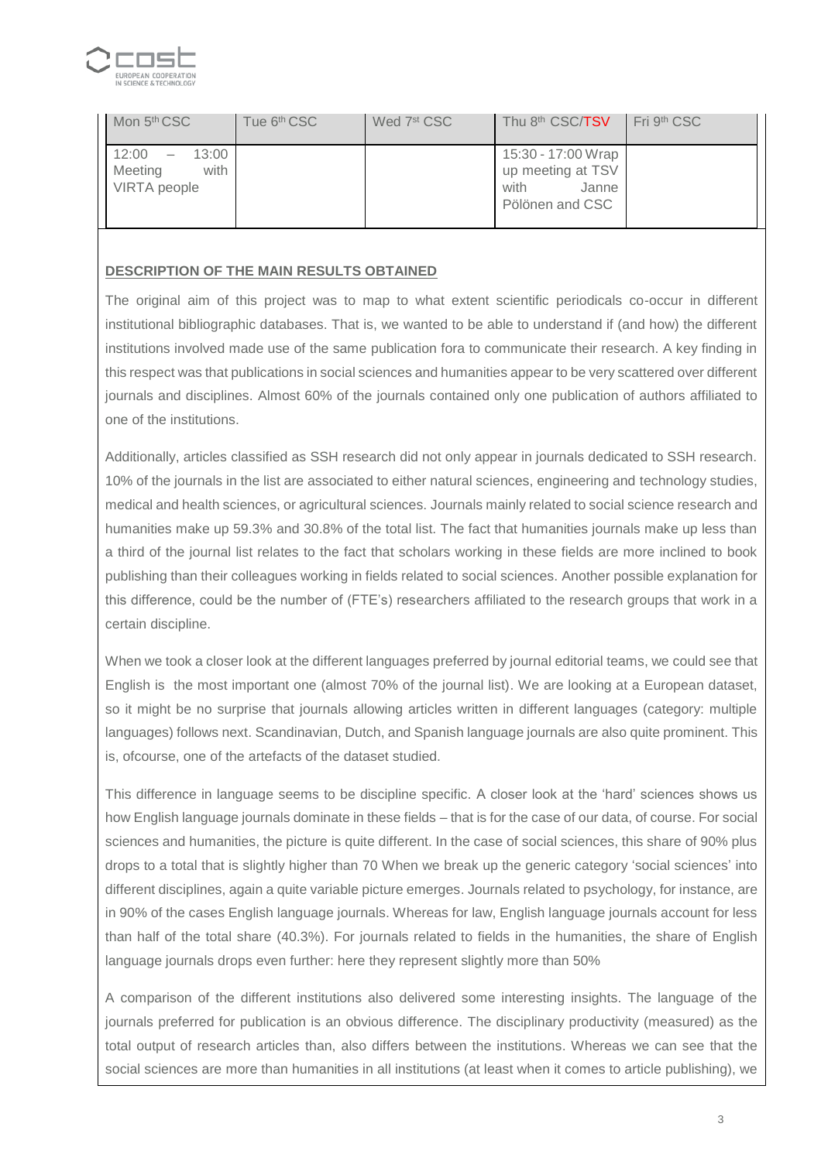

| Mon 5 <sup>th</sup> CSC                                                              | Tue 6 <sup>th</sup> CSC | Wed 7 <sup>st</sup> CSC | Thu 8 <sup>th</sup> CSC/ <b>TSV</b>                                         | Fri 9 <sup>th</sup> CSC |
|--------------------------------------------------------------------------------------|-------------------------|-------------------------|-----------------------------------------------------------------------------|-------------------------|
| 12:00<br>13:00<br>$\overline{\phantom{m}}$<br>Meeting<br>with<br><b>VIRTA</b> people |                         |                         | 15:30 - 17:00 Wrap<br>up meeting at TSV<br>with<br>Janne<br>Pölönen and CSC |                         |

#### **DESCRIPTION OF THE MAIN RESULTS OBTAINED**

The original aim of this project was to map to what extent scientific periodicals co-occur in different institutional bibliographic databases. That is, we wanted to be able to understand if (and how) the different institutions involved made use of the same publication fora to communicate their research. A key finding in this respect was that publications in social sciences and humanities appear to be very scattered over different journals and disciplines. Almost 60% of the journals contained only one publication of authors affiliated to one of the institutions.

Additionally, articles classified as SSH research did not only appear in journals dedicated to SSH research. 10% of the journals in the list are associated to either natural sciences, engineering and technology studies, medical and health sciences, or agricultural sciences. Journals mainly related to social science research and humanities make up 59.3% and 30.8% of the total list. The fact that humanities journals make up less than a third of the journal list relates to the fact that scholars working in these fields are more inclined to book publishing than their colleagues working in fields related to social sciences. Another possible explanation for this difference, could be the number of (FTE's) researchers affiliated to the research groups that work in a certain discipline.

When we took a closer look at the different languages preferred by journal editorial teams, we could see that English is the most important one (almost 70% of the journal list). We are looking at a European dataset, so it might be no surprise that journals allowing articles written in different languages (category: multiple languages) follows next. Scandinavian, Dutch, and Spanish language journals are also quite prominent. This is, ofcourse, one of the artefacts of the dataset studied.

This difference in language seems to be discipline specific. A closer look at the 'hard' sciences shows us how English language journals dominate in these fields – that is for the case of our data, of course. For social sciences and humanities, the picture is quite different. In the case of social sciences, this share of 90% plus drops to a total that is slightly higher than 70 When we break up the generic category 'social sciences' into different disciplines, again a quite variable picture emerges. Journals related to psychology, for instance, are in 90% of the cases English language journals. Whereas for law, English language journals account for less than half of the total share (40.3%). For journals related to fields in the humanities, the share of English language journals drops even further: here they represent slightly more than 50%

A comparison of the different institutions also delivered some interesting insights. The language of the journals preferred for publication is an obvious difference. The disciplinary productivity (measured) as the total output of research articles than, also differs between the institutions. Whereas we can see that the social sciences are more than humanities in all institutions (at least when it comes to article publishing), we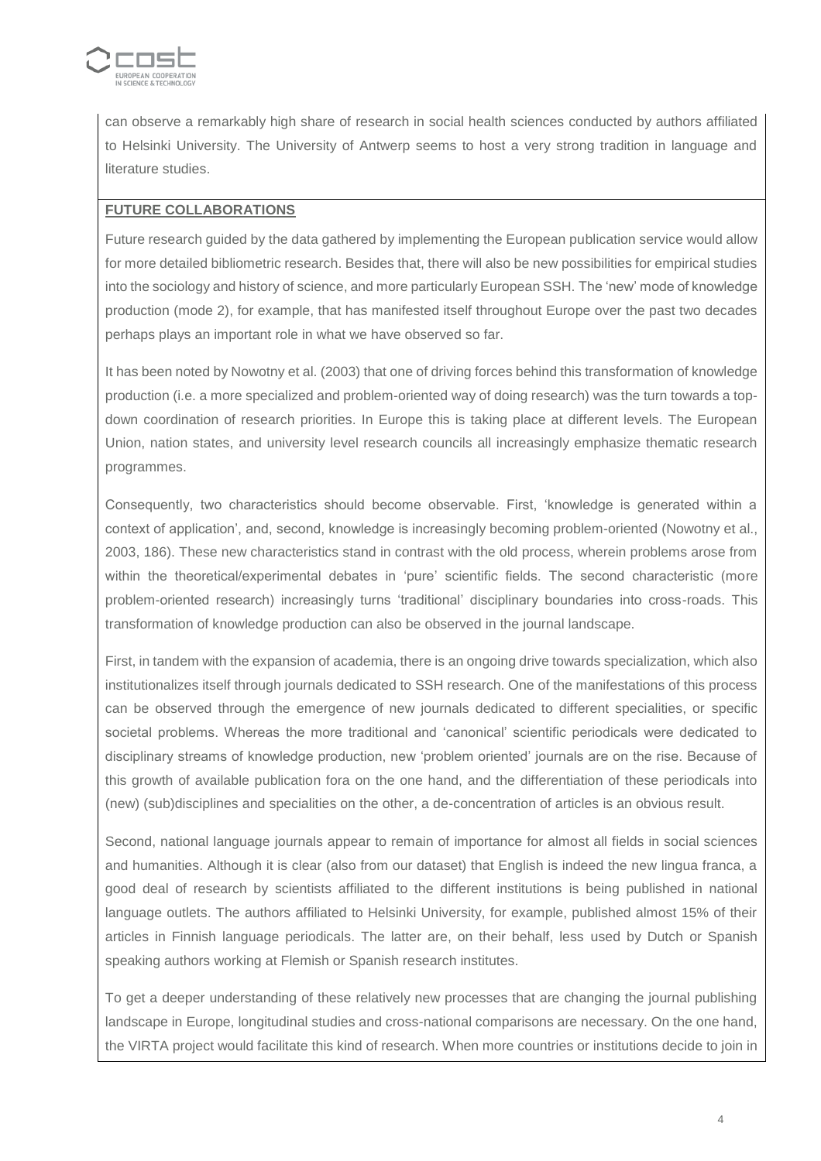

can observe a remarkably high share of research in social health sciences conducted by authors affiliated to Helsinki University. The University of Antwerp seems to host a very strong tradition in language and literature studies.

### **FUTURE COLLABORATIONS**

Future research guided by the data gathered by implementing the European publication service would allow for more detailed bibliometric research. Besides that, there will also be new possibilities for empirical studies into the sociology and history of science, and more particularly European SSH. The 'new' mode of knowledge production (mode 2), for example, that has manifested itself throughout Europe over the past two decades perhaps plays an important role in what we have observed so far.

It has been noted by Nowotny et al. (2003) that one of driving forces behind this transformation of knowledge production (i.e. a more specialized and problem-oriented way of doing research) was the turn towards a topdown coordination of research priorities. In Europe this is taking place at different levels. The European Union, nation states, and university level research councils all increasingly emphasize thematic research programmes.

Consequently, two characteristics should become observable. First, 'knowledge is generated within a context of application', and, second, knowledge is increasingly becoming problem-oriented (Nowotny et al., 2003, 186). These new characteristics stand in contrast with the old process, wherein problems arose from within the theoretical/experimental debates in 'pure' scientific fields. The second characteristic (more problem-oriented research) increasingly turns 'traditional' disciplinary boundaries into cross-roads. This transformation of knowledge production can also be observed in the journal landscape.

First, in tandem with the expansion of academia, there is an ongoing drive towards specialization, which also institutionalizes itself through journals dedicated to SSH research. One of the manifestations of this process can be observed through the emergence of new journals dedicated to different specialities, or specific societal problems. Whereas the more traditional and 'canonical' scientific periodicals were dedicated to disciplinary streams of knowledge production, new 'problem oriented' journals are on the rise. Because of this growth of available publication fora on the one hand, and the differentiation of these periodicals into (new) (sub)disciplines and specialities on the other, a de-concentration of articles is an obvious result.

Second, national language journals appear to remain of importance for almost all fields in social sciences and humanities. Although it is clear (also from our dataset) that English is indeed the new lingua franca, a good deal of research by scientists affiliated to the different institutions is being published in national language outlets. The authors affiliated to Helsinki University, for example, published almost 15% of their articles in Finnish language periodicals. The latter are, on their behalf, less used by Dutch or Spanish speaking authors working at Flemish or Spanish research institutes.

To get a deeper understanding of these relatively new processes that are changing the journal publishing landscape in Europe, longitudinal studies and cross-national comparisons are necessary. On the one hand, the VIRTA project would facilitate this kind of research. When more countries or institutions decide to join in